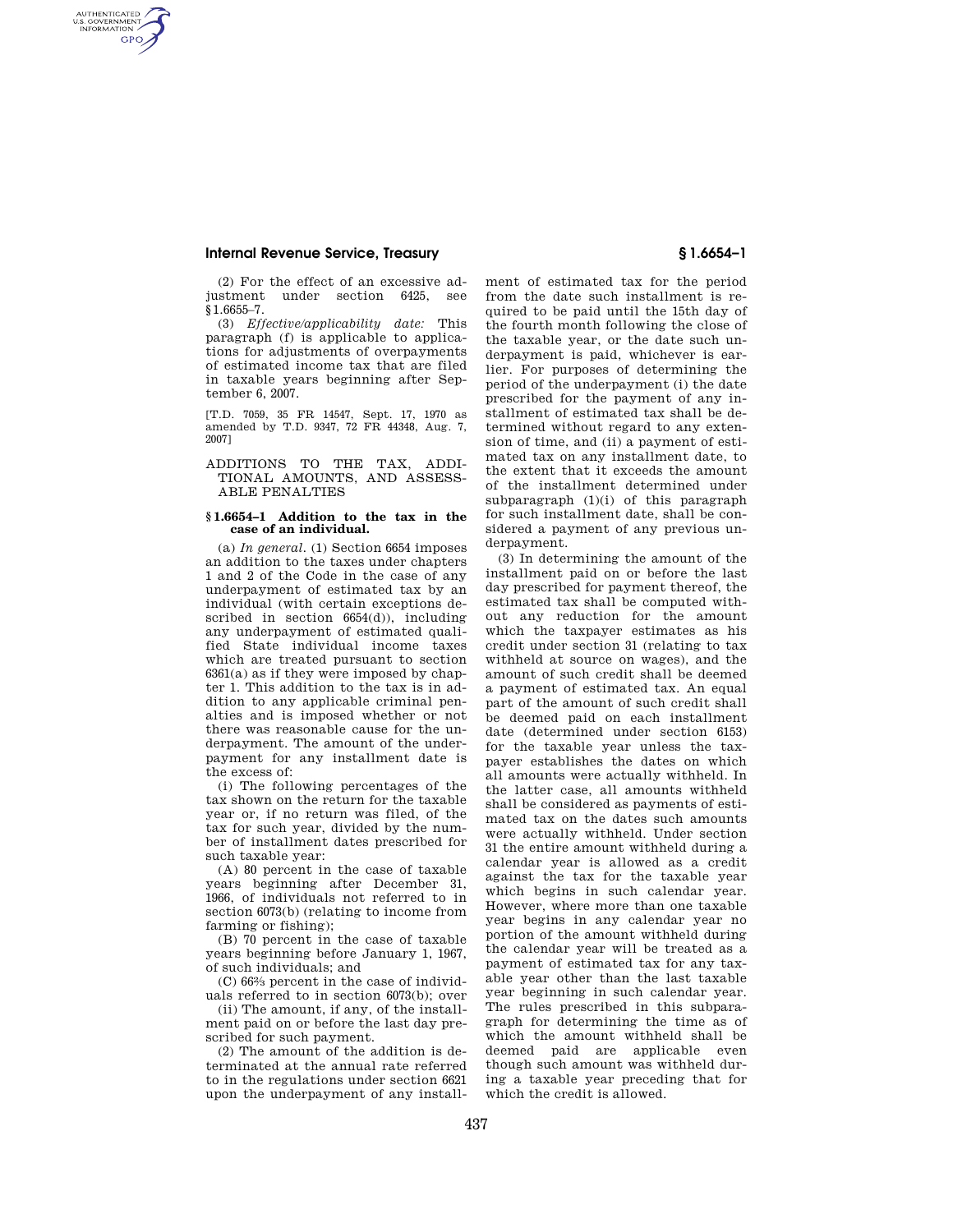# **Internal Revenue Service, Treasury § 1.6654–1**

AUTHENTICATED<br>U.S. GOVERNMENT<br>INFORMATION **GPO** 

> (2) For the effect of an excessive adjustment under section 6425, see §1.6655–7.

> (3) *Effective/applicability date:* This paragraph (f) is applicable to applications for adjustments of overpayments of estimated income tax that are filed in taxable years beginning after September 6, 2007.

> [T.D. 7059, 35 FR 14547, Sept. 17, 1970 as amended by T.D. 9347, 72 FR 44348, Aug. 7, 2007]

## ADDITIONS TO THE TAX, ADDI-TIONAL AMOUNTS, AND ASSESS-ABLE PENALTIES

### **§ 1.6654–1 Addition to the tax in the case of an individual.**

(a) *In general.* (1) Section 6654 imposes an addition to the taxes under chapters 1 and 2 of the Code in the case of any underpayment of estimated tax by an individual (with certain exceptions described in section 6654(d)), including any underpayment of estimated qualified State individual income taxes which are treated pursuant to section  $6361(a)$  as if they were imposed by chapter 1. This addition to the tax is in addition to any applicable criminal penalties and is imposed whether or not there was reasonable cause for the underpayment. The amount of the underpayment for any installment date is the excess of:

(i) The following percentages of the tax shown on the return for the taxable year or, if no return was filed, of the tax for such year, divided by the number of installment dates prescribed for such taxable year:

(A) 80 percent in the case of taxable years beginning after December 31, 1966, of individuals not referred to in section 6073(b) (relating to income from farming or fishing);

(B) 70 percent in the case of taxable years beginning before January 1, 1967, of such individuals; and

(C) 662⁄3 percent in the case of individuals referred to in section 6073(b); over

(ii) The amount, if any, of the installment paid on or before the last day prescribed for such payment.

(2) The amount of the addition is determinated at the annual rate referred to in the regulations under section 6621 upon the underpayment of any installment of estimated tax for the period from the date such installment is required to be paid until the 15th day of the fourth month following the close of the taxable year, or the date such underpayment is paid, whichever is earlier. For purposes of determining the period of the underpayment (i) the date prescribed for the payment of any installment of estimated tax shall be determined without regard to any extension of time, and (ii) a payment of estimated tax on any installment date, to the extent that it exceeds the amount of the installment determined under subparagraph (1)(i) of this paragraph for such installment date, shall be considered a payment of any previous underpayment.

(3) In determining the amount of the installment paid on or before the last day prescribed for payment thereof, the estimated tax shall be computed without any reduction for the amount which the taxpayer estimates as his credit under section 31 (relating to tax withheld at source on wages), and the amount of such credit shall be deemed a payment of estimated tax. An equal part of the amount of such credit shall be deemed paid on each installment date (determined under section 6153) for the taxable year unless the taxpayer establishes the dates on which all amounts were actually withheld. In the latter case, all amounts withheld shall be considered as payments of estimated tax on the dates such amounts were actually withheld. Under section 31 the entire amount withheld during a calendar year is allowed as a credit against the tax for the taxable year which begins in such calendar year. However, where more than one taxable year begins in any calendar year no portion of the amount withheld during the calendar year will be treated as a payment of estimated tax for any taxable year other than the last taxable year beginning in such calendar year. The rules prescribed in this subparagraph for determining the time as of which the amount withheld shall be deemed paid are applicable even though such amount was withheld during a taxable year preceding that for which the credit is allowed.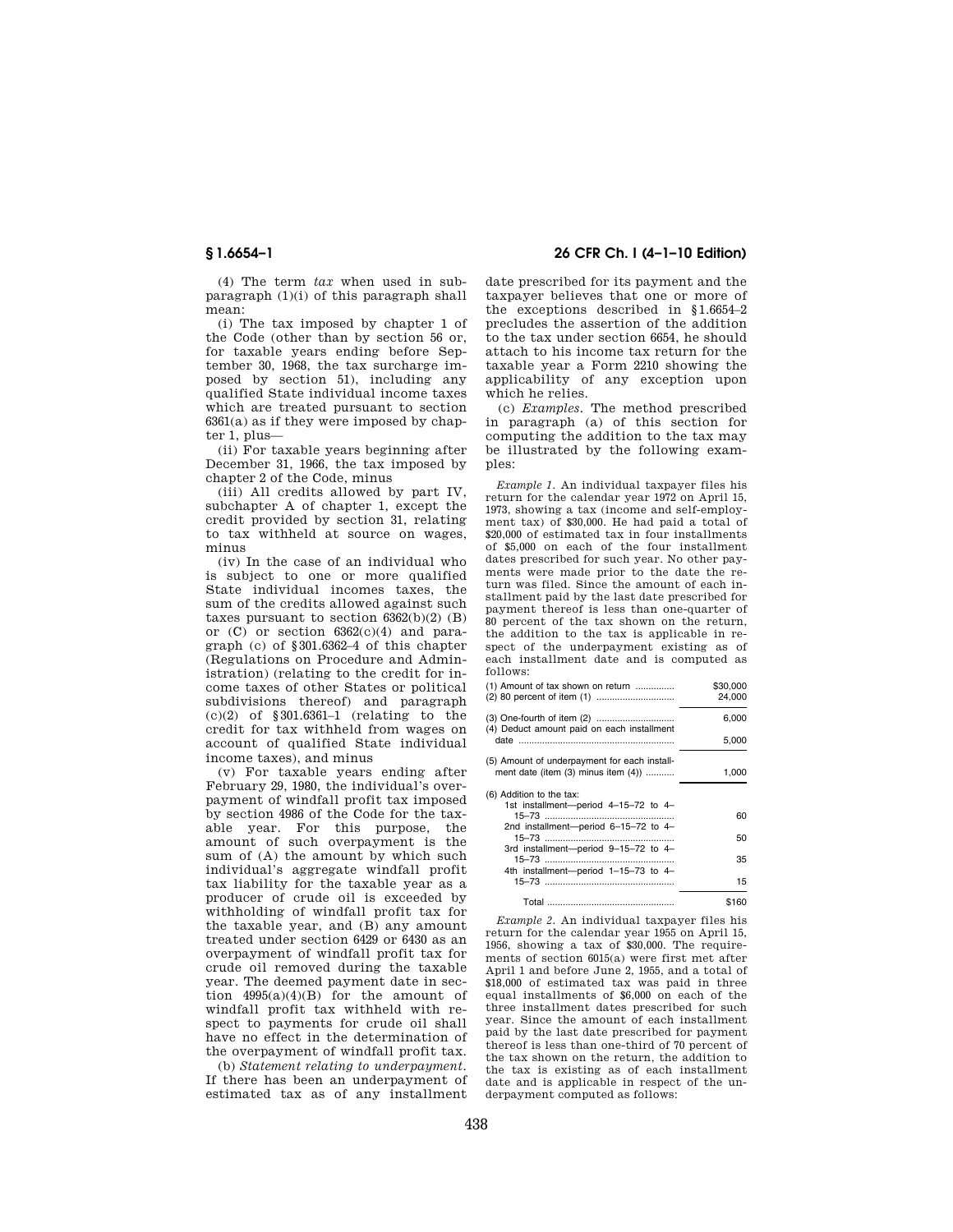(4) The term *tax* when used in subparagraph (1)(i) of this paragraph shall mean:

(i) The tax imposed by chapter 1 of the Code (other than by section 56 or, for taxable years ending before September 30, 1968, the tax surcharge imposed by section 51), including any qualified State individual income taxes which are treated pursuant to section  $6361(a)$  as if they were imposed by chapter 1, plus—

(ii) For taxable years beginning after December 31, 1966, the tax imposed by chapter 2 of the Code, minus

(iii) All credits allowed by part IV, subchapter A of chapter 1, except the credit provided by section 31, relating to tax withheld at source on wages, minus

(iv) In the case of an individual who is subject to one or more qualified State individual incomes taxes, the sum of the credits allowed against such taxes pursuant to section  $6362(b)(2)$  (B) or  $(C)$  or section  $6362(c)(4)$  and paragraph (c) of §301.6362–4 of this chapter (Regulations on Procedure and Administration) (relating to the credit for income taxes of other States or political subdivisions thereof) and paragraph (c)(2) of §301.6361–1 (relating to the credit for tax withheld from wages on account of qualified State individual income taxes), and minus

(v) For taxable years ending after February 29, 1980, the individual's overpayment of windfall profit tax imposed by section 4986 of the Code for the taxable year. For this purpose, the amount of such overpayment is the sum of  $(A)$  the amount by which such individual's aggregate windfall profit tax liability for the taxable year as a producer of crude oil is exceeded by withholding of windfall profit tax for the taxable year, and (B) any amount treated under section 6429 or 6430 as an overpayment of windfall profit tax for crude oil removed during the taxable year. The deemed payment date in section  $4995(a)(4)(B)$  for the amount of windfall profit tax withheld with respect to payments for crude oil shall have no effect in the determination of the overpayment of windfall profit tax.

(b) *Statement relating to underpayment.*  If there has been an underpayment of estimated tax as of any installment

# **§ 1.6654–1 26 CFR Ch. I (4–1–10 Edition)**

date prescribed for its payment and the taxpayer believes that one or more of the exceptions described in §1.6654–2 precludes the assertion of the addition to the tax under section 6654, he should attach to his income tax return for the taxable year a Form 2210 showing the applicability of any exception upon which he relies.

(c) *Examples.* The method prescribed in paragraph (a) of this section for computing the addition to the tax may be illustrated by the following examples:

*Example 1.* An individual taxpayer files his return for the calendar year 1972 on April 15, 1973, showing a tax (income and self-employment tax) of \$30,000. He had paid a total of \$20,000 of estimated tax in four installments of \$5,000 on each of the four installment dates prescribed for such year. No other payments were made prior to the date the return was filed. Since the amount of each installment paid by the last date prescribed for payment thereof is less than one-quarter of 80 percent of the tax shown on the return the addition to the tax is applicable in respect of the underpayment existing as of each installment date and is computed as follows:

| (1) Amount of tax shown on return            | \$30,000 |
|----------------------------------------------|----------|
|                                              | 24.000   |
| (4) Deduct amount paid on each installment   | 6,000    |
|                                              | 5,000    |
| (5) Amount of underpayment for each install- |          |
| ment date (item (3) minus item (4))          | 1.000    |
| (6) Addition to the tax:                     |          |
| 1st installment-period 4-15-72 to 4-         |          |
|                                              | 60       |
| 2nd installment-period 6-15-72 to 4-         |          |
|                                              | 50       |
| 3rd installment-period 9-15-72 to 4-         |          |
|                                              | 35       |
| 4th installment-period 1-15-73 to 4-         |          |
|                                              | 15       |
|                                              | \$160    |

*Example 2.* An individual taxpayer files his return for the calendar year 1955 on April 15, 1956, showing a tax of \$30,000. The requirements of section 6015(a) were first met after April 1 and before June 2, 1955, and a total of \$18,000 of estimated tax was paid in three equal installments of \$6,000 on each of the three installment dates prescribed for such year. Since the amount of each installment paid by the last date prescribed for payment thereof is less than one-third of 70 percent of the tax shown on the return, the addition to the tax is existing as of each installment date and is applicable in respect of the underpayment computed as follows: